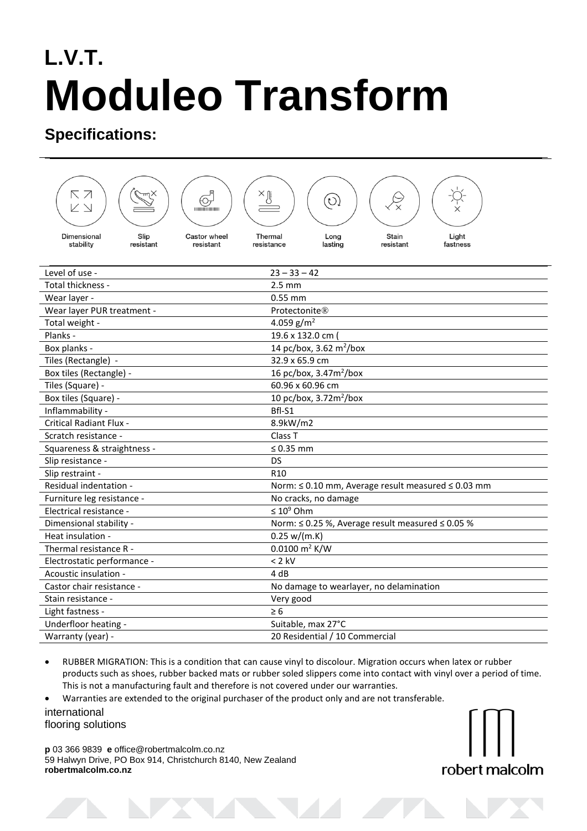## **L.V.T. Moduleo Transform**

## **Specifications:**

| ΚZ<br>$\mathbb{Z} \searrow$     |                   | $\bigodot$                | ×ß                    | $(\circ)$                                          |                                                |  |
|---------------------------------|-------------------|---------------------------|-----------------------|----------------------------------------------------|------------------------------------------------|--|
| <b>Dimensional</b><br>stability | Slip<br>resistant | Castor wheel<br>resistant | Thermal<br>resistance | Long<br>lasting                                    | Light<br><b>Stain</b><br>resistant<br>fastness |  |
|                                 |                   |                           |                       |                                                    |                                                |  |
| Level of use -                  |                   |                           |                       | $23 - 33 - 42$                                     |                                                |  |
| Total thickness -               |                   |                           |                       | $2.5 \text{ mm}$                                   |                                                |  |
| Wear layer -                    |                   |                           |                       | $0.55$ mm                                          |                                                |  |
| Wear layer PUR treatment -      |                   |                           |                       | Protectonite®                                      |                                                |  |
| Total weight -                  |                   |                           |                       | 4.059 $g/m^2$                                      |                                                |  |
| Planks -                        |                   |                           |                       | 19.6 x 132.0 cm                                    |                                                |  |
| Box planks -                    |                   |                           |                       | 14 pc/box, 3.62 m <sup>2</sup> /box                |                                                |  |
| Tiles (Rectangle) -             |                   |                           |                       | 32.9 x 65.9 cm                                     |                                                |  |
| Box tiles (Rectangle) -         |                   |                           |                       | 16 pc/box, 3.47m <sup>2</sup> /box                 |                                                |  |
| Tiles (Square) -                |                   |                           |                       | 60.96 x 60.96 cm                                   |                                                |  |
| Box tiles (Square) -            |                   |                           |                       | 10 pc/box, 3.72m <sup>2</sup> /box                 |                                                |  |
| Inflammability -                |                   |                           | Bfl-S1                |                                                    |                                                |  |
| <b>Critical Radiant Flux -</b>  |                   |                           |                       | 8.9kW/m2                                           |                                                |  |
| Scratch resistance -            |                   |                           | Class <sub>T</sub>    |                                                    |                                                |  |
| Squareness & straightness -     |                   |                           |                       | $\leq 0.35$ mm                                     |                                                |  |
| Slip resistance -               |                   |                           | <b>DS</b>             |                                                    |                                                |  |
| Slip restraint -                |                   |                           | R <sub>10</sub>       |                                                    |                                                |  |
| Residual indentation -          |                   |                           |                       | Norm: ≤ 0.10 mm, Average result measured ≤ 0.03 mm |                                                |  |
| Furniture leg resistance -      |                   |                           |                       | No cracks, no damage                               |                                                |  |
| Electrical resistance -         |                   |                           |                       | $\leq 10^9$ Ohm                                    |                                                |  |
| Dimensional stability -         |                   |                           |                       | Norm: ≤ 0.25 %, Average result measured ≤ 0.05 %   |                                                |  |
| Heat insulation -               |                   |                           |                       | 0.25 w/(m.K)                                       |                                                |  |
| Thermal resistance R -          |                   |                           |                       | $0.0100 \text{ m}^2 \text{ K/W}$                   |                                                |  |
| Electrostatic performance -     |                   |                           | $< 2$ kV              |                                                    |                                                |  |
| Acoustic insulation -           |                   |                           |                       | 4 dB                                               |                                                |  |
| Castor chair resistance -       |                   |                           |                       | No damage to wearlayer, no delamination            |                                                |  |
| Stain resistance -              |                   |                           |                       | Very good                                          |                                                |  |
| Light fastness -                |                   |                           |                       | $\geq 6$                                           |                                                |  |
| Underfloor heating -            |                   |                           |                       | Suitable, max 27°C                                 |                                                |  |
| Warranty (year) -               |                   |                           |                       | 20 Residential / 10 Commercial                     |                                                |  |

 RUBBER MIGRATION: This is a condition that can cause vinyl to discolour. Migration occurs when latex or rubber products such as shoes, rubber backed mats or rubber soled slippers come into contact with vinyl over a period of time. This is not a manufacturing fault and therefore is not covered under our warranties.

Warranties are extended to the original purchaser of the product only and are not transferable.

international flooring solutions

**p** 03 366 9839 **e** office@robertmalcolm.co.nz 59 Halwyn Drive, PO Box 914, Christchurch 8140, New Zealand **robertmalcolm.co.nz**

robert malcolm